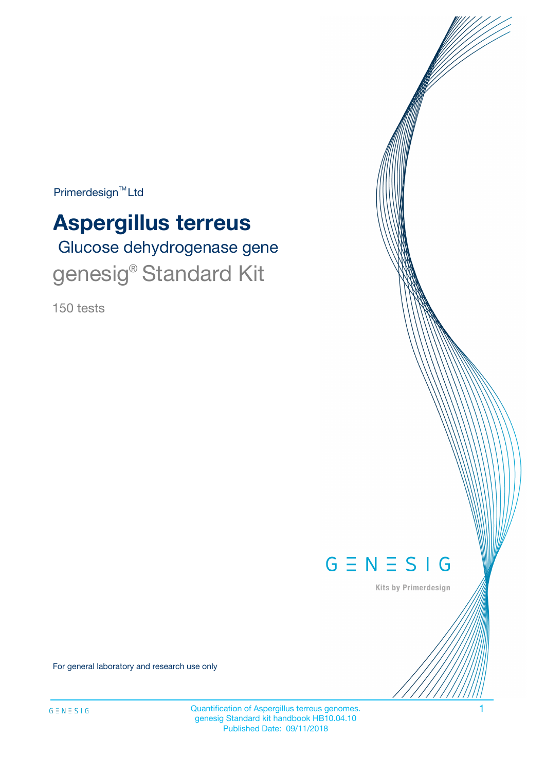$Primerdesign^{\text{TM}}Ltd$ 

# **Aspergillus terreus**

 Glucose dehydrogenase gene genesig® Standard Kit

150 tests



Kits by Primerdesign

For general laboratory and research use only

Quantification of Aspergillus terreus genomes. 1 genesig Standard kit handbook HB10.04.10 Published Date: 09/11/2018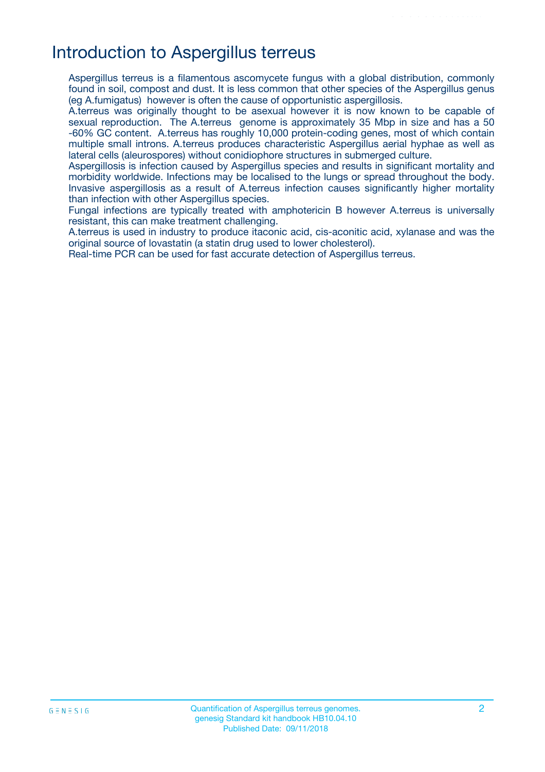## Introduction to Aspergillus terreus

Aspergillus terreus is a filamentous ascomycete fungus with a global distribution, commonly found in soil, compost and dust. It is less common that other species of the Aspergillus genus (eg A.fumigatus) however is often the cause of opportunistic aspergillosis.

A.terreus was originally thought to be asexual however it is now known to be capable of sexual reproduction. The A.terreus genome is approximately 35 Mbp in size and has a 50 -60% GC content. A.terreus has roughly 10,000 protein-coding genes, most of which contain multiple small introns. A.terreus produces characteristic Aspergillus aerial hyphae as well as lateral cells (aleurospores) without conidiophore structures in submerged culture.

Aspergillosis is infection caused by Aspergillus species and results in significant mortality and morbidity worldwide. Infections may be localised to the lungs or spread throughout the body. Invasive aspergillosis as a result of A.terreus infection causes significantly higher mortality than infection with other Aspergillus species.

Fungal infections are typically treated with amphotericin B however A.terreus is universally resistant, this can make treatment challenging.

A.terreus is used in industry to produce itaconic acid, cis-aconitic acid, xylanase and was the original source of lovastatin (a statin drug used to lower cholesterol).

Real-time PCR can be used for fast accurate detection of Aspergillus terreus.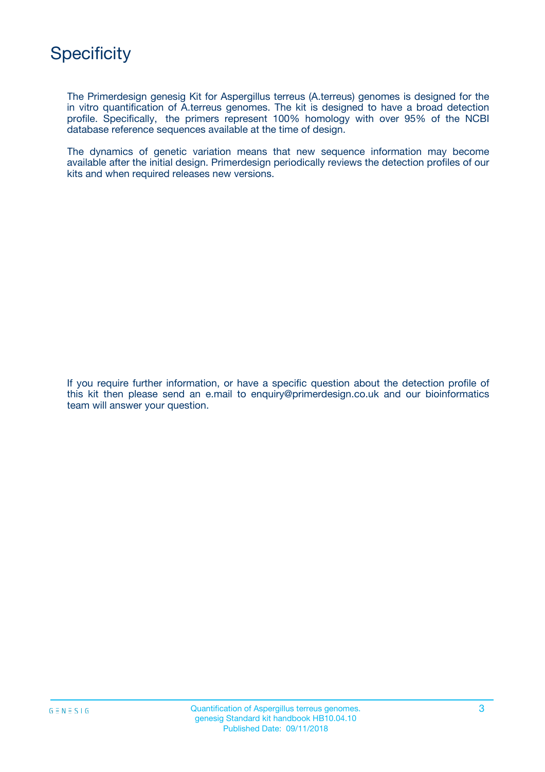

The Primerdesign genesig Kit for Aspergillus terreus (A.terreus) genomes is designed for the in vitro quantification of A.terreus genomes. The kit is designed to have a broad detection profile. Specifically, the primers represent 100% homology with over 95% of the NCBI database reference sequences available at the time of design.

The dynamics of genetic variation means that new sequence information may become available after the initial design. Primerdesign periodically reviews the detection profiles of our kits and when required releases new versions.

If you require further information, or have a specific question about the detection profile of this kit then please send an e.mail to enquiry@primerdesign.co.uk and our bioinformatics team will answer your question.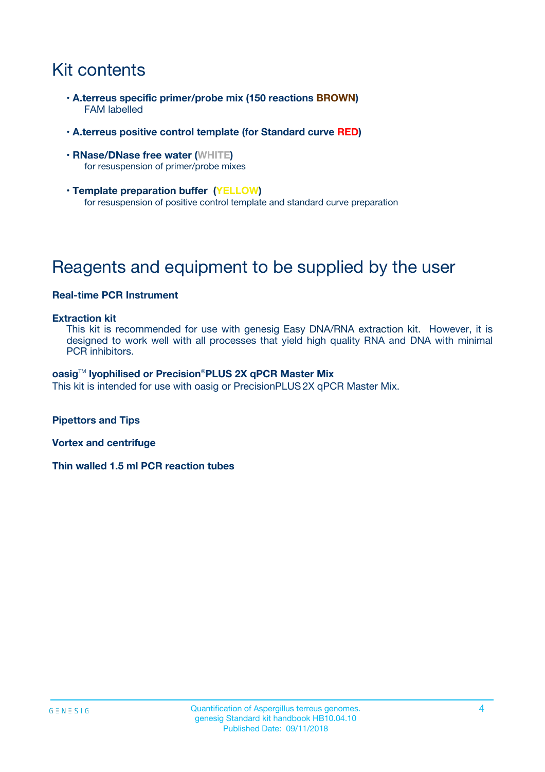# Kit contents

- **A.terreus specific primer/probe mix (150 reactions BROWN)** FAM labelled
- **A.terreus positive control template (for Standard curve RED)**
- **RNase/DNase free water (WHITE)** for resuspension of primer/probe mixes
- **Template preparation buffer (YELLOW)** for resuspension of positive control template and standard curve preparation

# Reagents and equipment to be supplied by the user

#### **Real-time PCR Instrument**

#### **Extraction kit**

This kit is recommended for use with genesig Easy DNA/RNA extraction kit. However, it is designed to work well with all processes that yield high quality RNA and DNA with minimal PCR inhibitors.

#### **oasig**TM **lyophilised or Precision**®**PLUS 2X qPCR Master Mix**

This kit is intended for use with oasig or PrecisionPLUS2X qPCR Master Mix.

**Pipettors and Tips**

**Vortex and centrifuge**

**Thin walled 1.5 ml PCR reaction tubes**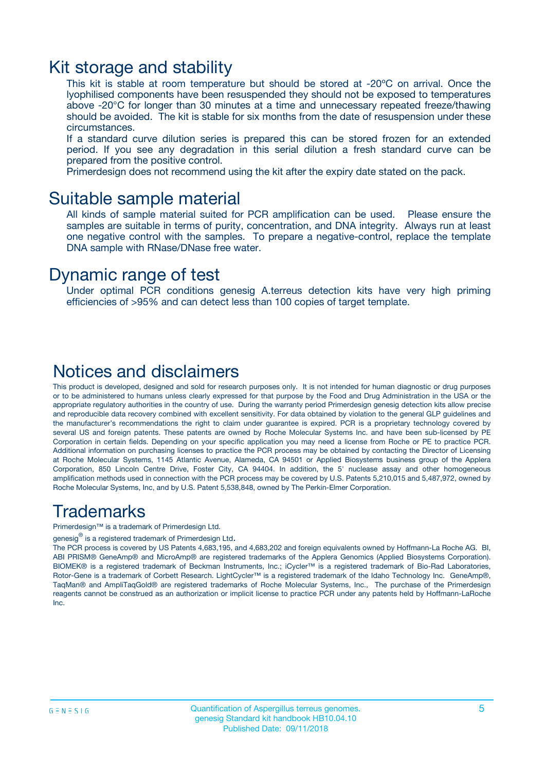### Kit storage and stability

This kit is stable at room temperature but should be stored at -20ºC on arrival. Once the lyophilised components have been resuspended they should not be exposed to temperatures above -20°C for longer than 30 minutes at a time and unnecessary repeated freeze/thawing should be avoided. The kit is stable for six months from the date of resuspension under these circumstances.

If a standard curve dilution series is prepared this can be stored frozen for an extended period. If you see any degradation in this serial dilution a fresh standard curve can be prepared from the positive control.

Primerdesign does not recommend using the kit after the expiry date stated on the pack.

### Suitable sample material

All kinds of sample material suited for PCR amplification can be used. Please ensure the samples are suitable in terms of purity, concentration, and DNA integrity. Always run at least one negative control with the samples. To prepare a negative-control, replace the template DNA sample with RNase/DNase free water.

### Dynamic range of test

Under optimal PCR conditions genesig A.terreus detection kits have very high priming efficiencies of >95% and can detect less than 100 copies of target template.

### Notices and disclaimers

This product is developed, designed and sold for research purposes only. It is not intended for human diagnostic or drug purposes or to be administered to humans unless clearly expressed for that purpose by the Food and Drug Administration in the USA or the appropriate regulatory authorities in the country of use. During the warranty period Primerdesign genesig detection kits allow precise and reproducible data recovery combined with excellent sensitivity. For data obtained by violation to the general GLP guidelines and the manufacturer's recommendations the right to claim under guarantee is expired. PCR is a proprietary technology covered by several US and foreign patents. These patents are owned by Roche Molecular Systems Inc. and have been sub-licensed by PE Corporation in certain fields. Depending on your specific application you may need a license from Roche or PE to practice PCR. Additional information on purchasing licenses to practice the PCR process may be obtained by contacting the Director of Licensing at Roche Molecular Systems, 1145 Atlantic Avenue, Alameda, CA 94501 or Applied Biosystems business group of the Applera Corporation, 850 Lincoln Centre Drive, Foster City, CA 94404. In addition, the 5' nuclease assay and other homogeneous amplification methods used in connection with the PCR process may be covered by U.S. Patents 5,210,015 and 5,487,972, owned by Roche Molecular Systems, Inc, and by U.S. Patent 5,538,848, owned by The Perkin-Elmer Corporation.

### Trademarks

Primerdesign™ is a trademark of Primerdesign Ltd.

genesig $^\circledR$  is a registered trademark of Primerdesign Ltd.

The PCR process is covered by US Patents 4,683,195, and 4,683,202 and foreign equivalents owned by Hoffmann-La Roche AG. BI, ABI PRISM® GeneAmp® and MicroAmp® are registered trademarks of the Applera Genomics (Applied Biosystems Corporation). BIOMEK® is a registered trademark of Beckman Instruments, Inc.; iCycler™ is a registered trademark of Bio-Rad Laboratories, Rotor-Gene is a trademark of Corbett Research. LightCycler™ is a registered trademark of the Idaho Technology Inc. GeneAmp®, TaqMan® and AmpliTaqGold® are registered trademarks of Roche Molecular Systems, Inc., The purchase of the Primerdesign reagents cannot be construed as an authorization or implicit license to practice PCR under any patents held by Hoffmann-LaRoche Inc.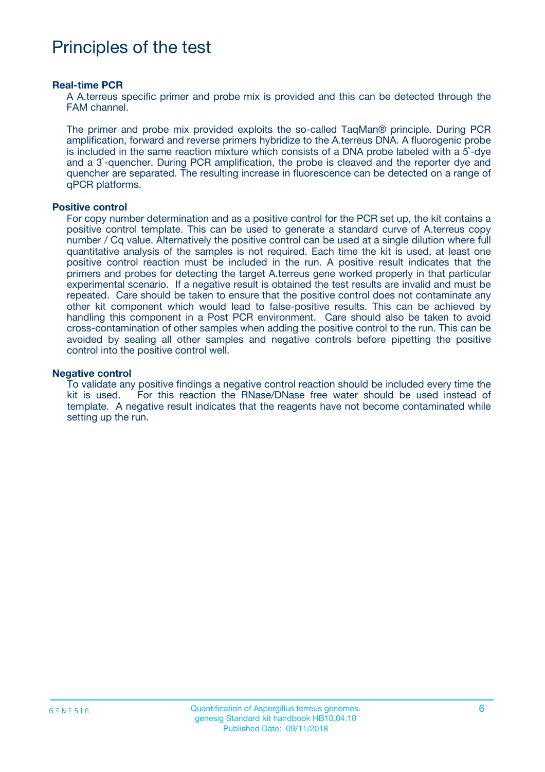# Principles of the test

#### **Real-time PCR**

A A.terreus specific primer and probe mix is provided and this can be detected through the FAM channel.

The primer and probe mix provided exploits the so-called TaqMan® principle. During PCR amplification, forward and reverse primers hybridize to the A.terreus DNA. A fluorogenic probe is included in the same reaction mixture which consists of a DNA probe labeled with a 5`-dye and a 3`-quencher. During PCR amplification, the probe is cleaved and the reporter dye and quencher are separated. The resulting increase in fluorescence can be detected on a range of qPCR platforms.

#### **Positive control**

For copy number determination and as a positive control for the PCR set up, the kit contains a positive control template. This can be used to generate a standard curve of A.terreus copy number / Cq value. Alternatively the positive control can be used at a single dilution where full quantitative analysis of the samples is not required. Each time the kit is used, at least one positive control reaction must be included in the run. A positive result indicates that the primers and probes for detecting the target A.terreus gene worked properly in that particular experimental scenario. If a negative result is obtained the test results are invalid and must be repeated. Care should be taken to ensure that the positive control does not contaminate any other kit component which would lead to false-positive results. This can be achieved by handling this component in a Post PCR environment. Care should also be taken to avoid cross-contamination of other samples when adding the positive control to the run. This can be avoided by sealing all other samples and negative controls before pipetting the positive control into the positive control well.

#### **Negative control**

To validate any positive findings a negative control reaction should be included every time the kit is used. For this reaction the RNase/DNase free water should be used instead of template. A negative result indicates that the reagents have not become contaminated while setting up the run.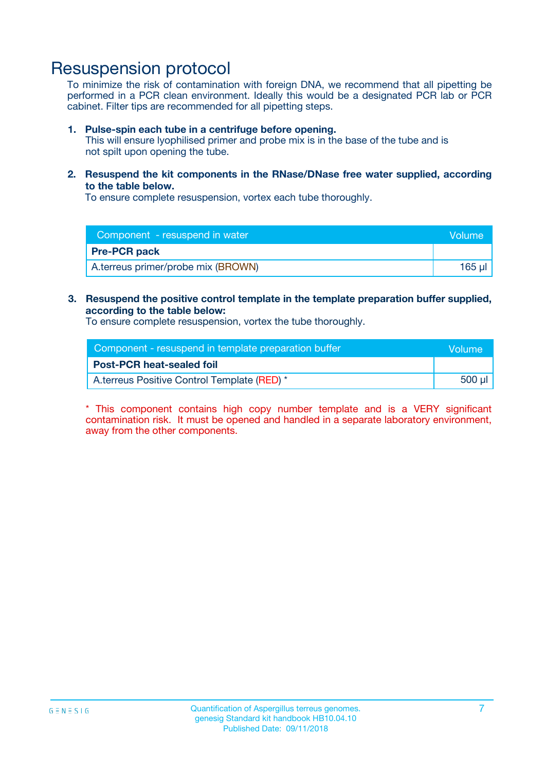## Resuspension protocol

To minimize the risk of contamination with foreign DNA, we recommend that all pipetting be performed in a PCR clean environment. Ideally this would be a designated PCR lab or PCR cabinet. Filter tips are recommended for all pipetting steps.

#### **1. Pulse-spin each tube in a centrifuge before opening.**

This will ensure lyophilised primer and probe mix is in the base of the tube and is not spilt upon opening the tube.

**2. Resuspend the kit components in the RNase/DNase free water supplied, according to the table below.**

To ensure complete resuspension, vortex each tube thoroughly.

| Component - resuspend in water     |        |
|------------------------------------|--------|
| <b>Pre-PCR pack</b>                |        |
| A.terreus primer/probe mix (BROWN) | 165 µl |

### **3. Resuspend the positive control template in the template preparation buffer supplied, according to the table below:**

To ensure complete resuspension, vortex the tube thoroughly.

| Component - resuspend in template preparation buffer |        |  |
|------------------------------------------------------|--------|--|
| <b>Post-PCR heat-sealed foil</b>                     |        |  |
| A.terreus Positive Control Template (RED) *          | 500 µl |  |

\* This component contains high copy number template and is a VERY significant contamination risk. It must be opened and handled in a separate laboratory environment, away from the other components.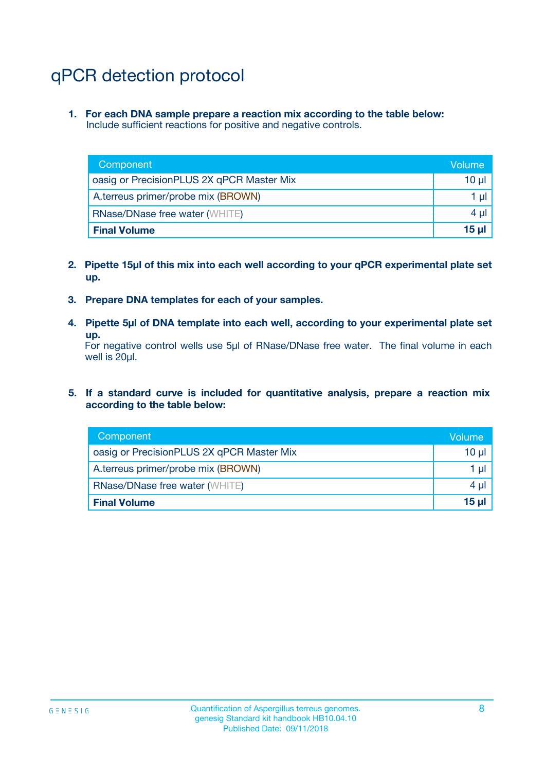# qPCR detection protocol

**1. For each DNA sample prepare a reaction mix according to the table below:** Include sufficient reactions for positive and negative controls.

| Component                                 | Volume           |
|-------------------------------------------|------------------|
| oasig or PrecisionPLUS 2X qPCR Master Mix | 10 ul            |
| A.terreus primer/probe mix (BROWN)        | 1 µl             |
| <b>RNase/DNase free water (WHITE)</b>     | $4 \mu$          |
| <b>Final Volume</b>                       | 15 <sub>ul</sub> |

- **2. Pipette 15µl of this mix into each well according to your qPCR experimental plate set up.**
- **3. Prepare DNA templates for each of your samples.**
- **4. Pipette 5µl of DNA template into each well, according to your experimental plate set up.**

For negative control wells use 5µl of RNase/DNase free water. The final volume in each well is 20µl.

**5. If a standard curve is included for quantitative analysis, prepare a reaction mix according to the table below:**

| Component                                 | Volume     |
|-------------------------------------------|------------|
| oasig or PrecisionPLUS 2X qPCR Master Mix | $10 \mu$   |
| A.terreus primer/probe mix (BROWN)        | 1 µI       |
| <b>RNase/DNase free water (WHITE)</b>     | 4 µl       |
| <b>Final Volume</b>                       | $15$ $\mu$ |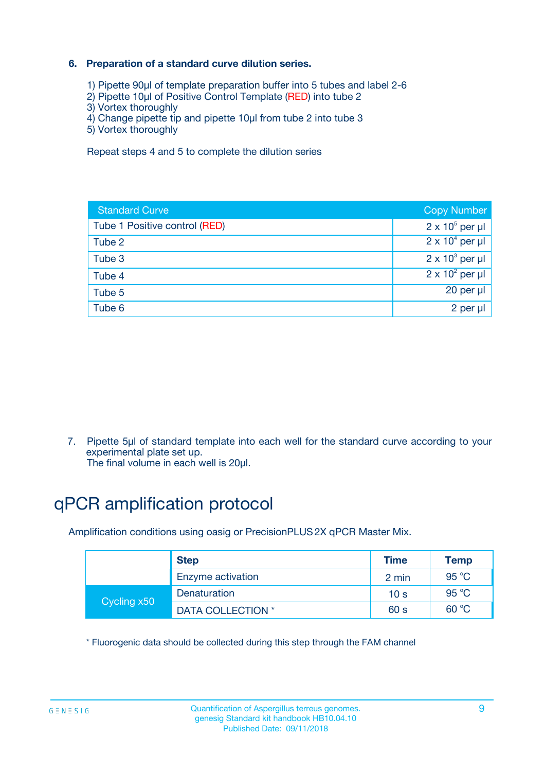### **6. Preparation of a standard curve dilution series.**

- 1) Pipette 90µl of template preparation buffer into 5 tubes and label 2-6
- 2) Pipette 10µl of Positive Control Template (RED) into tube 2
- 3) Vortex thoroughly
- 4) Change pipette tip and pipette 10µl from tube 2 into tube 3
- 5) Vortex thoroughly

Repeat steps 4 and 5 to complete the dilution series

| <b>Standard Curve</b>         | <b>Copy Number</b>     |
|-------------------------------|------------------------|
| Tube 1 Positive control (RED) | $2 \times 10^5$ per µl |
| Tube 2                        | $2 \times 10^4$ per µl |
| Tube 3                        | $2 \times 10^3$ per µl |
| Tube 4                        | $2 \times 10^2$ per µl |
| Tube 5                        | 20 per µl              |
| Tube 6                        | 2 per ul               |

7. Pipette 5µl of standard template into each well for the standard curve according to your experimental plate set up.

The final volume in each well is 20µl.

# qPCR amplification protocol

Amplification conditions using oasig or PrecisionPLUS2X qPCR Master Mix.

|             | <b>Step</b>       | <b>Time</b>     | Temp    |
|-------------|-------------------|-----------------|---------|
|             | Enzyme activation | 2 min           | 95 °C   |
| Cycling x50 | Denaturation      | 10 <sub>s</sub> | 95 $°C$ |
|             | DATA COLLECTION * | 60 s            | 60 °C   |

\* Fluorogenic data should be collected during this step through the FAM channel